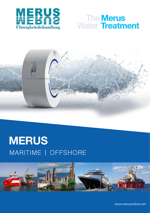

## The **Merus** Water **Treatment**



## MARITIME | OFFSHORE **MERUS Prohold**



www.merusonline.com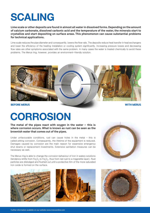# **SCALING**

**Lime scale or other deposits are found in almost all water in dissolved forms. Depending on the amount of calcium carbonate, dissolved carbonic acid and the temperature of the water, the minerals start to crystallize and start depositing on surface areas. This phenomenon can cause substantial problems for technical applications.**

Lime scale reduces the pipe diameter and consequently, lowers the flow rate. The deposits reduce heat transfer in heat exchangers and lower the efficiency of the heating installation or cooling system significantly. Increasing pressure losses and decreasing flow rates are other symptoms associated with the same problem. In many cases the water is treated chemically to avoid these problems. The Merus ring, however, provides an environment-friendly solution.



**BEFORE MERUS WITH MERUS**

# **CORROSION**

**The metal of the pipes react with oxygen in the water – this is where corrosion occurs. What is known as rust can be seen as the brownish water that comes out of the pipes.** 

Under unfavourable conditions, rust can cause holes in the metal  $-$  this is called pitting corrosion. Consequently, the lifetime of the equipment is reduced. Damages caused by corrosion are the main reason for expensive emergency shut downs or replacement investments. Extensive sanitation measures can be necessary as well.

The Merus ring is able to change the corrosion behaviour of iron in watery solutions (tendency shifts from Fe ${_{2} \rm{O}_{3}}$  to Fe ${_{3} \rm{O}_{4}}$ , thus from red rust to a magnetite layer). Rust particles are dislodged and flushed out until a protective film of the more saturated iron oxide is formed on the surface.







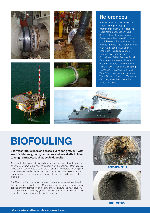





### **References**

Boskalis, CNOOC, ConocoPhillips, Dolphin Energy, Dredging International, DSM Delft, Fleet Pro, Fugro Marine Services BV, GDF Suez, GloMar Shipmanagement, Greenpeace, Hamburg Süd, Hapag Lloyd, Heerema Fabrication Group, Holland America Line, Intercontinental Waterways, Jan de Nul, John T. Essberger, Köln Düsseldorfer, Leonhardt & Blumberg, MS Cruiseliners, Odfjell Terminal Botlek, Q8 – Kuwait Petroleum, Rivertech BV, Shell, Statoil, Teekay Petrojarl, TESO – Texel, Thenamaris Shipping, Transocean, Uniworld, Van Oord, Vico, Viking Life-Saving Equipment, Vroon Offshore Services, Wagenborg Offshore, Weka Boxcoolers BV, Wintershall, Yara





# **BIOFOULING**

#### **Seawater intake lines and cross-overs can grow full with sea life. Marine growth, barnacles and sea shells hold on to rough surfaces, such as scale deposits.**

As a result, the pipes get blocked and show a reduced flow. In turn, this affects for example the cooling capacity of the engines. Most vessels make use of strainers to prevent the organisms from further entering the water network inside the vessel. Yet, the larvae pass these filters and barnacles and mussels can still grow until the pipes will be completely blocked.

The Merus technology can counteract these problems, without harming the biology in the water. The Merus rings will change the process of scaling and the formation of biofilm, and will ensure the new larvae will not find so much breeding ground due to cleaner pipes. This will slow down the marine growth in the water system.



**BEFORE MERUS**



**WITH MERUS**